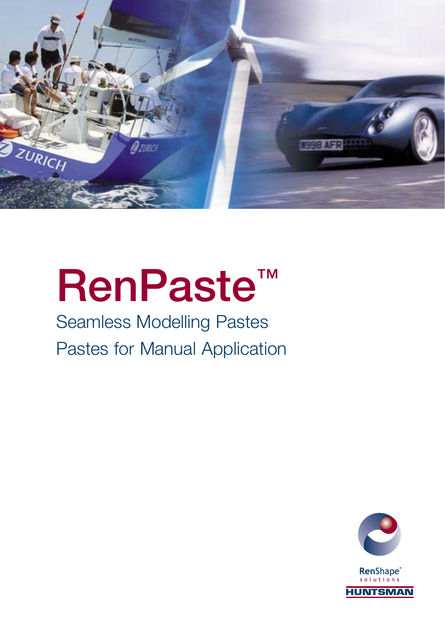

## **RenPaste™**

## Seamless Modelling Pastes Pastes for Manual Application